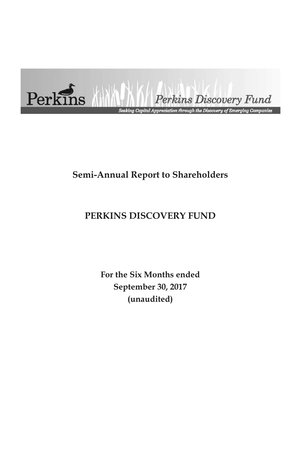

# **Semi-Annual Report to Shareholders**

# **PERKINS DISCOVERY FUND**

**For the Six Months ended September 30, 2017 (unaudited)**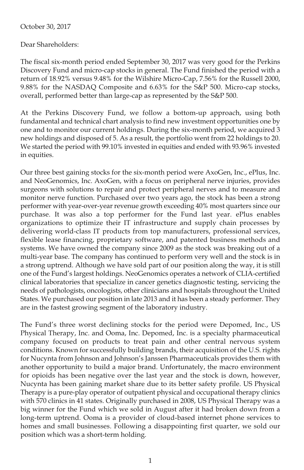#### October 30, 2017

Dear Shareholders:

The fiscal six-month period ended September 30, 2017 was very good for the Perkins Discovery Fund and micro-cap stocks in general. The Fund finished the period with a return of 18.92% versus 9.48% for the Wilshire Micro-Cap, 7.56% for the Russell 2000, 9.88% for the NASDAQ Composite and 6.63% for the S&P 500. Micro-cap stocks, overall, performed better than large-cap as represented by the S&P 500.

At the Perkins Discovery Fund, we follow a bottom-up approach, using both fundamental and technical chart analysis to find new investment opportunities one by one and to monitor our current holdings. During the six-month period, we acquired 3 new holdings and disposed of 5. As a result, the portfolio went from 22 holdings to 20. We started the period with 99.10% invested in equities and ended with 93.96% invested in equities.

Our three best gaining stocks for the six-month period were AxoGen, Inc., ePlus, Inc. and NeoGenomics, Inc. AxoGen, with a focus on peripheral nerve injuries, provides surgeons with solutions to repair and protect peripheral nerves and to measure and monitor nerve function. Purchased over two years ago, the stock has been a strong performer with year-over-year revenue growth exceeding 40% most quarters since our purchase. It was also a top performer for the Fund last year. ePlus enables organizations to optimize their IT infrastructure and supply chain processes by delivering world-class IT products from top manufacturers, professional services, flexible lease financing, proprietary software, and patented business methods and systems. We have owned the company since 2009 as the stock was breaking out of a multi-year base. The company has continued to perform very well and the stock is in a strong uptrend. Although we have sold part of our position along the way, it is still one of the Fund's largest holdings. NeoGenomics operates a network of CLIA-certified clinical laboratories that specialize in cancer genetics diagnostic testing, servicing the needs of pathologists, oncologists, other clinicians and hospitals throughout the United States. We purchased our position in late 2013 and it has been a steady performer. They are in the fastest growing segment of the laboratory industry.

The Fund's three worst declining stocks for the period were Depomed, Inc., US Physical Therapy, Inc. and Ooma, Inc. Depomed, Inc. is a specialty pharmaceutical company focused on products to treat pain and other central nervous system conditions. Known for successfully building brands, their acquisition of the U.S. rights for Nucynta from Johnson and Johnson's Janssen Pharmaceuticals provides them with another opportunity to build a major brand. Unfortunately, the macro environment for opioids has been negative over the last year and the stock is down, however, Nucynta has been gaining market share due to its better safety profile. US Physical Therapy is a pure-play operator of outpatient physical and occupational therapy clinics with 570 clinics in 41 states. Originally purchased in 2008, US Physical Therapy was a big winner for the Fund which we sold in August after it had broken down from a long-term uptrend. Ooma is a provider of cloud-based internet phone services to homes and small businesses. Following a disappointing first quarter, we sold our position which was a short-term holding.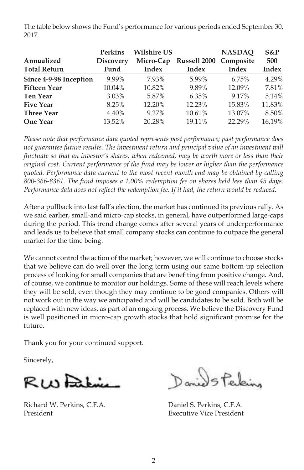The table below shows the Fund's performance for various periods ended September 30, 2017.

|                        | <b>Perkins</b>   | <b>Wilshire US</b> |                                  | <b>NASDAO</b> | $S\&P$ |
|------------------------|------------------|--------------------|----------------------------------|---------------|--------|
| Annualized             | <b>Discovery</b> |                    | Micro-Cap Russell 2000 Composite |               | 500    |
| <b>Total Return</b>    | Fund             | Index              | Index                            | Index         | Index  |
| Since 4-9-98 Inception | 9.99%            | 7.93%              | 5.99%                            | 6.75%         | 4.29%  |
| <b>Fifteen Year</b>    | 10.04%           | 10.82%             | 9.89%                            | 12.09%        | 7.81%  |
| <b>Ten Year</b>        | $3.03\%$         | 5.87%              | 6.35%                            | 9.17%         | 5.14%  |
| <b>Five Year</b>       | 8.25%            | 12.20%             | 12.23%                           | 15.83%        | 11.83% |
| <b>Three Year</b>      | 4.40%            | $9.27\%$           | 10.61%                           | 13.07%        | 8.50%  |
| <b>One Year</b>        | 13.52%           | 20.28%             | 19.11%                           | 22.29%        | 16.19% |

*Please note that performance data quoted represents past performance; past performance does not guarantee future results. The investment return and principal value of an investment will fluctuate so that an investor's shares, when redeemed, may be worth more or less than their original cost. Current performance of the fund may be lower or higher than the performance quoted. Performance data current to the most recent month end may be obtained by calling 800-366-8361. The fund imposes a 1.00% redemption fee on shares held less than 45 days. Performance data does not reflect the redemption fee. If it had, the return would be reduced.*

After a pullback into last fall's election, the market has continued its previous rally. As we said earlier, small-and micro-cap stocks, in general, have outperformed large-caps during the period. This trend change comes after several years of underperformance and leads us to believe that small company stocks can continue to outpace the general market for the time being.

We cannot control the action of the market; however, we will continue to choose stocks that we believe can do well over the long term using our same bottom-up selection process of looking for small companies that are benefiting from positive change. And, of course, we continue to monitor our holdings. Some of these will reach levels where they will be sold, even though they may continue to be good companies. Others will not work out in the way we anticipated and will be candidates to be sold. Both will be replaced with new ideas, as part of an ongoing process. We believe the Discovery Fund is well positioned in micro-cap growth stocks that hold significant promise for the future.

Thank you for your continued support.

Sincerely,

RWFaking

Richard W. Perkins, C.F.A. Daniel S. Perkins, C.F.A. President **Executive Vice President** 

Daniel Staking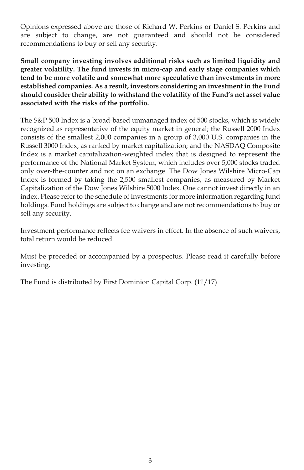Opinions expressed above are those of Richard W. Perkins or Daniel S. Perkins and are subject to change, are not guaranteed and should not be considered recommendations to buy or sell any security.

**Small company investing involves additional risks such as limited liquidity and greater volatility. The fund invests in micro-cap and early stage companies which tend to be more volatile and somewhat more speculative than investments in more established companies. As a result, investors considering an investment in the Fund should consider their ability to withstand the volatility of the Fund's net asset value associated with the risks of the portfolio.**

The S&P 500 Index is a broad-based unmanaged index of 500 stocks, which is widely recognized as representative of the equity market in general; the Russell 2000 Index consists of the smallest 2,000 companies in a group of 3,000 U.S. companies in the Russell 3000 Index, as ranked by market capitalization; and the NASDAQ Composite Index is a market capitalization-weighted index that is designed to represent the performance of the National Market System, which includes over 5,000 stocks traded only over-the-counter and not on an exchange. The Dow Jones Wilshire Micro-Cap Index is formed by taking the 2,500 smallest companies, as measured by Market Capitalization of the Dow Jones Wilshire 5000 Index. One cannot invest directly in an index. Please refer to the schedule of investments for more information regarding fund holdings. Fund holdings are subject to change and are not recommendations to buy or sell any security.

Investment performance reflects fee waivers in effect. In the absence of such waivers, total return would be reduced.

Must be preceded or accompanied by a prospectus. Please read it carefully before investing.

The Fund is distributed by First Dominion Capital Corp. (11/17)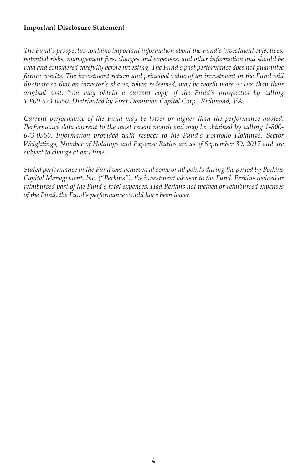#### **Important Disclosure Statement**

*The Fund's prospectus contains important information about the Fund's investment objectives, potential risks, management fees, charges and expenses, and other information and should be read and considered carefully before investing. The Fund's past performance does not guarantee future results. The investment return and principal value of an investment in the Fund will fluctuate so that an investor's shares, when redeemed, may be worth more or less than their original cost. You may obtain a current copy of the Fund's prospectus by calling 1-800-673-0550. Distributed by First Dominion Capital Corp., Richmond, VA.*

*Current performance of the Fund may be lower or higher than the performance quoted. Performance data current to the most recent month end may be obtained by calling 1-800- 673-0550. Information provided with respect to the Fund's Portfolio Holdings, Sector Weightings, Number of Holdings and Expense Ratios are as of September 30, 2017 and are subject to change at any time.*

*Stated performance in the Fund was achieved at some or all points during the period by Perkins Capital Management, Inc. ("Perkins"), the investment advisor to the Fund. Perkins waived or reimbursed part of the Fund's total expenses. Had Perkins not waived or reimbursed expenses of the Fund, the Fund's performance would have been lower.*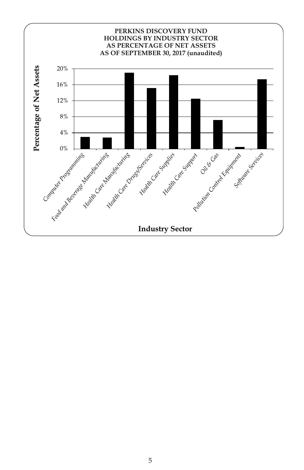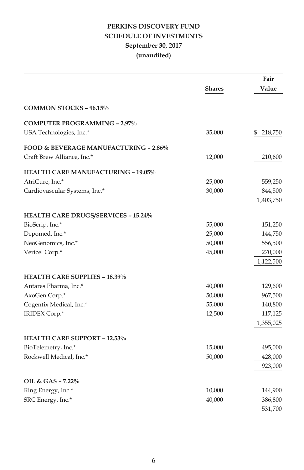## **PERKINS DISCOVERY FUND SCHEDULE OF INVESTMENTS September 30, 2017 (unaudited)**

|                                                  |               | Fair          |
|--------------------------------------------------|---------------|---------------|
|                                                  | <b>Shares</b> | Value         |
| <b>COMMON STOCKS - 96.15%</b>                    |               |               |
| <b>COMPUTER PROGRAMMING - 2.97%</b>              |               |               |
| USA Technologies, Inc.*                          | 35,000        | 218,750<br>\$ |
| <b>FOOD &amp; BEVERAGE MANUFACTURING - 2.86%</b> |               |               |
| Craft Brew Alliance, Inc.*                       | 12,000        | 210,600       |
| <b>HEALTH CARE MANUFACTURING - 19.05%</b>        |               |               |
| AtriCure, Inc.*                                  | 25,000        | 559,250       |
| Cardiovascular Systems, Inc.*                    | 30,000        | 844,500       |
|                                                  |               | 1,403,750     |
| <b>HEALTH CARE DRUGS/SERVICES - 15.24%</b>       |               |               |
| BioScrip, Inc.*                                  | 55,000        | 151,250       |
| Depomed, Inc.*                                   | 25,000        | 144,750       |
| NeoGenomics, Inc.*                               | 50,000        | 556,500       |
| Vericel Corp.*                                   | 45,000        | 270,000       |
|                                                  |               | 1,122,500     |
| <b>HEALTH CARE SUPPLIES - 18.39%</b>             |               |               |
| Antares Pharma, Inc.*                            | 40,000        | 129,600       |
| AxoGen Corp.*                                    | 50,000        | 967,500       |
| Cogentix Medical, Inc.*                          | 55,000        | 140,800       |
| IRIDEX Corp.*                                    | 12,500        | 117,125       |
|                                                  |               | 1,355,025     |
| <b>HEALTH CARE SUPPORT - 12.53%</b>              |               |               |
| BioTelemetry, Inc.*                              | 15,000        | 495,000       |
| Rockwell Medical, Inc.*                          | 50,000        | 428,000       |
|                                                  |               | 923,000       |
| OIL & GAS - 7.22%                                |               |               |
| Ring Energy, Inc.*                               | 10,000        | 144,900       |
| SRC Energy, Inc.*                                | 40,000        | 386,800       |
|                                                  |               | 531,700       |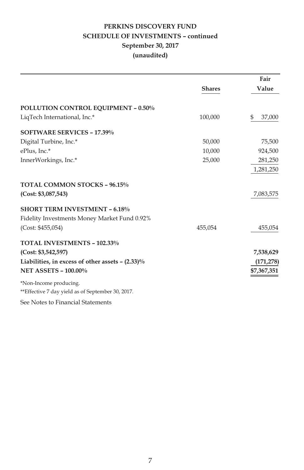## **PERKINS DISCOVERY FUND SCHEDULE OF INVESTMENTS – continued September 30, 2017 (unaudited)**

|                                                                             |               | Fair         |
|-----------------------------------------------------------------------------|---------------|--------------|
|                                                                             | <b>Shares</b> | Value        |
| <b>POLLUTION CONTROL EQUIPMENT - 0.50%</b>                                  |               |              |
| LigTech International, Inc.*                                                | 100,000       | 37,000<br>\$ |
| <b>SOFTWARE SERVICES - 17.39%</b>                                           |               |              |
| Digital Turbine, Inc.*                                                      | 50,000        | 75,500       |
| ePlus, Inc.*                                                                | 10,000        | 924,500      |
| InnerWorkings, Inc.*                                                        | 25,000        | 281,250      |
|                                                                             |               | 1,281,250    |
| TOTAL COMMON STOCKS - 96.15%                                                |               |              |
| (Cost: \$3,087,543)                                                         |               | 7,083,575    |
| <b>SHORT TERM INVESTMENT - 6.18%</b>                                        |               |              |
| Fidelity Investments Money Market Fund 0.92%                                |               |              |
| (Cost: \$455,054)                                                           | 455,054       | 455,054      |
| TOTAL INVESTMENTS - 102.33%                                                 |               |              |
| (Cost: \$3,542,597)                                                         |               | 7,538,629    |
| Liabilities, in excess of other assets $- (2.33)\%$                         |               | (171, 278)   |
| <b>NET ASSETS - 100.00%</b>                                                 |               | \$7,367,351  |
| *Non-Income producing.<br>**Effective 7 day yield as of September 30, 2017. |               |              |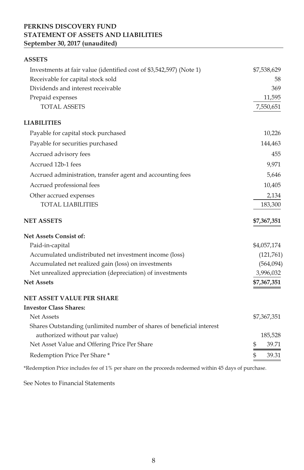## **PERKINS DISCOVERY FUND STATEMENT OF ASSETS AND LIABILITIES September 30, 2017 (unaudited)**

| <b>ASSETS</b>                                                         |             |
|-----------------------------------------------------------------------|-------------|
| Investments at fair value (identified cost of \$3,542,597) (Note 1)   | \$7,538,629 |
| Receivable for capital stock sold                                     | 58          |
| Dividends and interest receivable                                     | 369         |
| Prepaid expenses                                                      | 11,595      |
| <b>TOTAL ASSETS</b>                                                   | 7,550,651   |
| <b>LIABILITIES</b>                                                    |             |
| Payable for capital stock purchased                                   | 10,226      |
| Payable for securities purchased                                      | 144,463     |
| Accrued advisory fees                                                 | 455         |
| Accrued 12b-1 fees                                                    | 9,971       |
| Accrued administration, transfer agent and accounting fees            | 5,646       |
| Accrued professional fees                                             | 10,405      |
| Other accrued expenses                                                | 2,134       |
| <b>TOTAL LIABILITIES</b>                                              | 183,300     |
| <b>NET ASSETS</b>                                                     | \$7,367,351 |
| <b>Net Assets Consist of:</b>                                         |             |
| Paid-in-capital                                                       | \$4,057,174 |
| Accumulated undistributed net investment income (loss)                | (121,761)   |
| Accumulated net realized gain (loss) on investments                   | (564,094)   |
| Net unrealized appreciation (depreciation) of investments             | 3,996,032   |
| <b>Net Assets</b>                                                     | \$7,367,351 |
| <b>NET ASSET VALUE PER SHARE</b>                                      |             |
| <b>Investor Class Shares:</b>                                         |             |
| Net Assets                                                            | \$7,367,351 |
| Shares Outstanding (unlimited number of shares of beneficial interest |             |
| authorized without par value)                                         | 185,528     |
| Net Asset Value and Offering Price Per Share                          | \$<br>39.71 |
| Redemption Price Per Share*                                           | \$<br>39.31 |
|                                                                       |             |

\*Redemption Price includes fee of 1% per share on the proceeds redeemed within 45 days of purchase.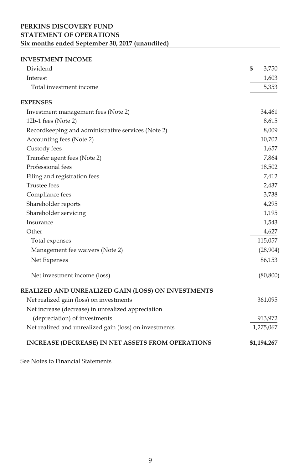## **PERKINS DISCOVERY FUND STATEMENT OF OPERATIONS Six months ended September 30, 2017 (unaudited)**

## **INVESTMENT INCOME**

| Dividend                                                 | \$<br>3,750 |
|----------------------------------------------------------|-------------|
| Interest                                                 | 1,603       |
| Total investment income                                  | 5,353       |
| <b>EXPENSES</b>                                          |             |
| Investment management fees (Note 2)                      | 34,461      |
| 12b-1 fees (Note 2)                                      | 8,615       |
| Recordkeeping and administrative services (Note 2)       | 8,009       |
| Accounting fees (Note 2)                                 | 10,702      |
| Custody fees                                             | 1,657       |
| Transfer agent fees (Note 2)                             | 7,864       |
| Professional fees                                        | 18,502      |
| Filing and registration fees                             | 7,412       |
| <b>Trustee</b> fees                                      | 2,437       |
| Compliance fees                                          | 3,738       |
| Shareholder reports                                      | 4,295       |
| Shareholder servicing                                    | 1,195       |
| Insurance                                                | 1,543       |
| Other                                                    | 4,627       |
| Total expenses                                           | 115,057     |
| Management fee waivers (Note 2)                          | (28,904)    |
| Net Expenses                                             | 86,153      |
| Net investment income (loss)                             | (80, 800)   |
| REALIZED AND UNREALIZED GAIN (LOSS) ON INVESTMENTS       |             |
| Net realized gain (loss) on investments                  | 361,095     |
| Net increase (decrease) in unrealized appreciation       |             |
| (depreciation) of investments                            | 913,972     |
| Net realized and unrealized gain (loss) on investments   | 1,275,067   |
| <b>INCREASE (DECREASE) IN NET ASSETS FROM OPERATIONS</b> | \$1,194,267 |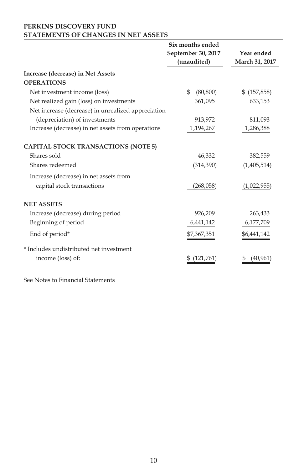### **PERKINS DISCOVERY FUND STATEMENTS OF CHANGES IN NET ASSETS**

|                                                    | Six months ended<br>September 30, 2017<br>(unaudited) | Year ended<br>March 31, 2017 |
|----------------------------------------------------|-------------------------------------------------------|------------------------------|
| Increase (decrease) in Net Assets                  |                                                       |                              |
| <b>OPERATIONS</b>                                  |                                                       |                              |
| Net investment income (loss)                       | \$<br>(80, 800)                                       | \$ (157,858)                 |
| Net realized gain (loss) on investments            | 361,095                                               | 633,153                      |
| Net increase (decrease) in unrealized appreciation |                                                       |                              |
| (depreciation) of investments                      | 913,972                                               | 811,093                      |
| Increase (decrease) in net assets from operations  | 1,194,267                                             | 1,286,388                    |
| <b>CAPITAL STOCK TRANSACTIONS (NOTE 5)</b>         |                                                       |                              |
| Shares sold                                        | 46,332                                                | 382,559                      |
| Shares redeemed                                    | (314, 390)                                            | (1,405,514)                  |
| Increase (decrease) in net assets from             |                                                       |                              |
| capital stock transactions                         | (268,058)                                             | (1,022,955)                  |
| <b>NET ASSETS</b>                                  |                                                       |                              |
| Increase (decrease) during period                  | 926,209                                               | 263,433                      |
| Beginning of period                                | 6,441,142                                             | 6,177,709                    |
| End of period*                                     | \$7,367,351                                           | \$6,441,142                  |
| * Includes undistributed net investment            |                                                       |                              |
| income (loss) of:                                  | (121,761)<br>\$                                       | (40,961<br>5                 |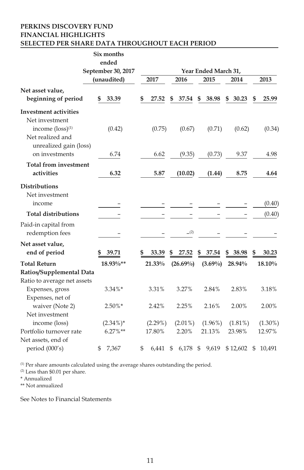#### **PERKINS DISCOVERY FUND FINANCIAL HIGHLIGHTS SELECTED PER SHARE DATA THROUGHOUT EACH PERIOD**

|                                                                                                                                | Six months<br>ended               |    |            |    |             |                              |             |      |            |
|--------------------------------------------------------------------------------------------------------------------------------|-----------------------------------|----|------------|----|-------------|------------------------------|-------------|------|------------|
|                                                                                                                                | September 30, 2017<br>(unaudited) |    | 2017       |    | 2016        | Year Ended March 31,<br>2015 | 2014        |      | 2013       |
| Net asset value,<br>beginning of period                                                                                        | 33.39<br>S                        | S  | 27.52      | S  | 37.54       | \$<br>38.98                  | \$<br>30.23 | S    | 25.99      |
| <b>Investment activities</b><br>Net investment<br>income $(logs)$ <sup>(1)</sup><br>Net realized and<br>unrealized gain (loss) | (0.42)                            |    | (0.75)     |    | (0.67)      | (0.71)                       | (0.62)      |      | (0.34)     |
| on investments                                                                                                                 | 6.74                              |    | 6.62       |    | (9.35)      | (0.73)                       | 9.37        |      | 4.98       |
| <b>Total from investment</b><br>activities                                                                                     | 6.32                              |    | 5.87       |    | (10.02)     | (1.44)                       | 8.75        |      | 4.64       |
| <b>Distributions</b><br>Net investment                                                                                         |                                   |    |            |    |             |                              |             |      |            |
| income                                                                                                                         |                                   |    |            |    |             |                              |             |      | (0.40)     |
| <b>Total distributions</b>                                                                                                     |                                   |    |            |    |             |                              |             |      | (0.40)     |
| Paid-in capital from<br>redemption fees                                                                                        |                                   |    |            |    | (2)         |                              |             |      |            |
| Net asset value,<br>end of period                                                                                              | 39.71                             |    | 33.39      |    | 27.52       | \$<br>37.54                  | \$<br>38.98 | \$   | 30.23      |
| <b>Total Return</b>                                                                                                            | 18.93%**                          |    | 21.33%     |    | $(26.69\%)$ | $(3.69\%)$                   | 28.94%      |      | 18.10%     |
| Ratios/Supplemental Data                                                                                                       |                                   |    |            |    |             |                              |             |      |            |
| Ratio to average net assets                                                                                                    |                                   |    |            |    |             |                              |             |      |            |
| Expenses, gross<br>Expenses, net of                                                                                            | $3.34\%*$                         |    | 3.31%      |    | 3.27%       | 2.84%                        | 2.83%       |      | 3.18%      |
| waiver (Note 2)<br>Net investment                                                                                              | $2.50\%*$                         |    | 2.42%      |    | 2.25%       | 2.16%                        | 2.00%       |      | 2.00%      |
| income (loss)                                                                                                                  | $(2.34\%)*$                       |    | $(2.29\%)$ |    | $(2.01\%)$  | $(1.96\%)$                   | $(1.81\%)$  |      | $(1.30\%)$ |
| Portfolio turnover rate                                                                                                        | $6.27\%**$                        |    | 17.80%     |    | 2.20%       | 21.13%                       | 23.98%      |      | 12.97%     |
| Net assets, end of<br>period (000's)                                                                                           | \$<br>7,367                       | \$ | 6,441      | \$ | $6,178$ \$  | 9,619                        | \$12,602    | - \$ | 10,491     |

(1) Per share amounts calculated using the average shares outstanding the period.

(2) Less than \$0.01 per share.

\* Annualized

\*\* Not annualized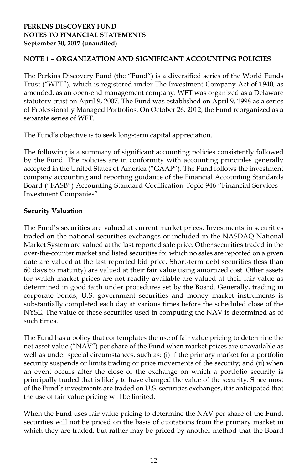## **NOTE 1 – ORGANIZATION AND SIGNIFICANT ACCOUNTING POLICIES**

The Perkins Discovery Fund (the "Fund") is a diversified series of the World Funds Trust ("WFT"), which is registered under The Investment Company Act of 1940, as amended, as an open-end management company. WFT was organized as a Delaware statutory trust on April 9, 2007. The Fund was established on April 9, 1998 as a series of Professionally Managed Portfolios. On October 26, 2012, the Fund reorganized as a separate series of WFT.

The Fund's objective is to seek long-term capital appreciation.

The following is a summary of significant accounting policies consistently followed by the Fund. The policies are in conformity with accounting principles generally accepted in the United States of America ("GAAP"). The Fund follows the investment company accounting and reporting guidance of the Financial Accounting Standards Board ("FASB") Accounting Standard Codification Topic 946 "Financial Services – Investment Companies".

#### **Security Valuation**

The Fund's securities are valued at current market prices. Investments in securities traded on the national securities exchanges or included in the NASDAQ National Market System are valued at the last reported sale price. Other securities traded in the over-the-counter market and listed securities for which no sales are reported on a given date are valued at the last reported bid price. Short-term debt securities (less than 60 days to maturity) are valued at their fair value using amortized cost. Other assets for which market prices are not readily available are valued at their fair value as determined in good faith under procedures set by the Board. Generally, trading in corporate bonds, U.S. government securities and money market instruments is substantially completed each day at various times before the scheduled close of the NYSE. The value of these securities used in computing the NAV is determined as of such times.

The Fund has a policy that contemplates the use of fair value pricing to determine the net asset value ("NAV") per share of the Fund when market prices are unavailable as well as under special circumstances, such as: (i) if the primary market for a portfolio security suspends or limits trading or price movements of the security; and (ii) when an event occurs after the close of the exchange on which a portfolio security is principally traded that is likely to have changed the value of the security. Since most of the Fund's investments are traded on U.S. securities exchanges, it is anticipated that the use of fair value pricing will be limited.

When the Fund uses fair value pricing to determine the NAV per share of the Fund, securities will not be priced on the basis of quotations from the primary market in which they are traded, but rather may be priced by another method that the Board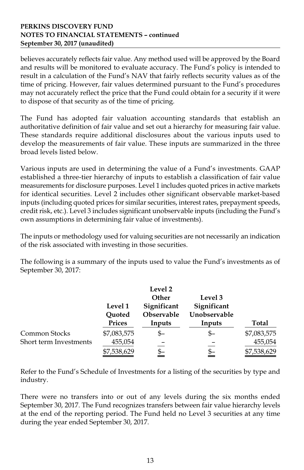#### **PERKINS DISCOVERY FUND NOTES TO FINANCIAL STATEMENTS – continued September 30, 2017 (unaudited)**

believes accurately reflects fair value. Any method used will be approved by the Board and results will be monitored to evaluate accuracy. The Fund's policy is intended to result in a calculation of the Fund's NAV that fairly reflects security values as of the time of pricing. However, fair values determined pursuant to the Fund's procedures may not accurately reflect the price that the Fund could obtain for a security if it were to dispose of that security as of the time of pricing.

The Fund has adopted fair valuation accounting standards that establish an authoritative definition of fair value and set out a hierarchy for measuring fair value. These standards require additional disclosures about the various inputs used to develop the measurements of fair value. These inputs are summarized in the three broad levels listed below.

Various inputs are used in determining the value of a Fund's investments. GAAP established a three-tier hierarchy of inputs to establish a classification of fair value measurements for disclosure purposes. Level 1 includes quoted prices in active markets for identical securities. Level 2 includes other significant observable market-based inputs (including quoted prices for similar securities, interest rates, prepayment speeds, credit risk, etc.). Level 3 includes significant unobservable inputs (including the Fund's own assumptions in determining fair value of investments).

The inputs or methodology used for valuing securities are not necessarily an indication of the risk associated with investing in those securities.

The following is a summary of the inputs used to value the Fund's investments as of September 30, 2017:

|                        | Level 1<br>Quoted | Level 2<br>Other<br>Significant<br>Observable | Level 3<br>Significant<br>Unobservable |             |
|------------------------|-------------------|-----------------------------------------------|----------------------------------------|-------------|
|                        | <b>Prices</b>     | Inputs                                        | Inputs                                 | Total       |
| Common Stocks          | \$7,083,575       | \$–                                           | \$–                                    | \$7,083,575 |
| Short term Investments | 455,054           |                                               |                                        | 455,054     |
|                        | \$7,538,629       | \$–                                           | \$–                                    | \$7,538,629 |

Refer to the Fund's Schedule of Investments for a listing of the securities by type and industry.

There were no transfers into or out of any levels during the six months ended September 30, 2017. The Fund recognizes transfers between fair value hierarchy levels at the end of the reporting period. The Fund held no Level 3 securities at any time during the year ended September 30, 2017.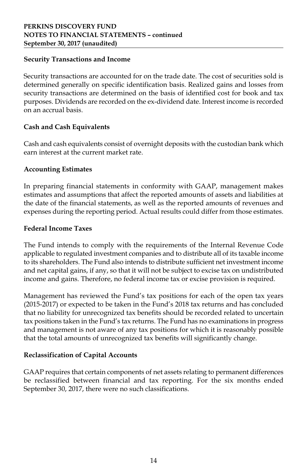#### **Security Transactions and Income**

Security transactions are accounted for on the trade date. The cost of securities sold is determined generally on specific identification basis. Realized gains and losses from security transactions are determined on the basis of identified cost for book and tax purposes. Dividends are recorded on the ex-dividend date. Interest income is recorded on an accrual basis.

## **Cash and Cash Equivalents**

Cash and cash equivalents consist of overnight deposits with the custodian bank which earn interest at the current market rate.

## **Accounting Estimates**

In preparing financial statements in conformity with GAAP, management makes estimates and assumptions that affect the reported amounts of assets and liabilities at the date of the financial statements, as well as the reported amounts of revenues and expenses during the reporting period. Actual results could differ from those estimates.

## **Federal Income Taxes**

The Fund intends to comply with the requirements of the Internal Revenue Code applicable to regulated investment companies and to distribute all of its taxable income to its shareholders. The Fund also intends to distribute sufficient net investment income and net capital gains, if any, so that it will not be subject to excise tax on undistributed income and gains. Therefore, no federal income tax or excise provision is required.

Management has reviewed the Fund's tax positions for each of the open tax years (2015-2017) or expected to be taken in the Fund's 2018 tax returns and has concluded that no liability for unrecognized tax benefits should be recorded related to uncertain tax positions taken in the Fund's tax returns. The Fund has no examinations in progress and management is not aware of any tax positions for which it is reasonably possible that the total amounts of unrecognized tax benefits will significantly change.

## **Reclassification of Capital Accounts**

GAAP requires that certain components of net assets relating to permanent differences be reclassified between financial and tax reporting. For the six months ended September 30, 2017, there were no such classifications.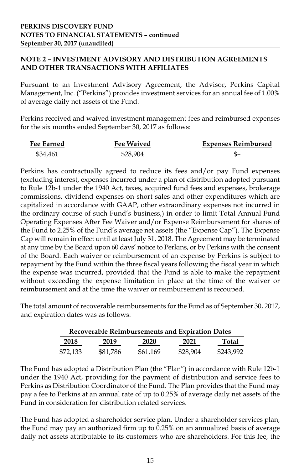## **NOTE 2 – INVESTMENT ADVISORY AND DISTRIBUTION AGREEMENTS AND OTHER TRANSACTIONS WITH AFFILIATES**

Pursuant to an Investment Advisory Agreement, the Advisor, Perkins Capital Management, Inc. ("Perkins") provides investment services for an annual fee of 1.00% of average daily net assets of the Fund.

Perkins received and waived investment management fees and reimbursed expenses for the six months ended September 30, 2017 as follows:

| <b>Fee Earned</b> | <b>Fee Waived</b> | <b>Expenses Reimbursed</b> |
|-------------------|-------------------|----------------------------|
| \$34,461          | \$28,904          |                            |

Perkins has contractually agreed to reduce its fees and/or pay Fund expenses (excluding interest, expenses incurred under a plan of distribution adopted pursuant to Rule 12b-1 under the 1940 Act, taxes, acquired fund fees and expenses, brokerage commissions, dividend expenses on short sales and other expenditures which are capitalized in accordance with GAAP, other extraordinary expenses not incurred in the ordinary course of such Fund's business,) in order to limit Total Annual Fund Operating Expenses After Fee Waiver and/or Expense Reimbursement for shares of the Fund to 2.25% of the Fund's average net assets (the "Expense Cap"). The Expense Cap will remain in effect until at least July 31, 2018. The Agreement may be terminated at any time by the Board upon 60 days' notice to Perkins, or by Perkins with the consent of the Board. Each waiver or reimbursement of an expense by Perkins is subject to repayment by the Fund within the three fiscal years following the fiscal year in which the expense was incurred, provided that the Fund is able to make the repayment without exceeding the expense limitation in place at the time of the waiver or reimbursement and at the time the waiver or reimbursement is recouped.

The total amount of recoverable reimbursements for the Fund as of September 30, 2017, and expiration dates was as follows:

| <b>Recoverable Reimbursements and Expiration Dates</b> |          |          |          |           |  |  |
|--------------------------------------------------------|----------|----------|----------|-----------|--|--|
| 2018                                                   | 2019     | 2020     | 2021     | Total     |  |  |
| \$72,133                                               | \$81,786 | \$61.169 | \$28,904 | \$243,992 |  |  |

The Fund has adopted a Distribution Plan (the "Plan") in accordance with Rule 12b-1 under the 1940 Act, providing for the payment of distribution and service fees to Perkins as Distribution Coordinator of the Fund. The Plan provides that the Fund may pay a fee to Perkins at an annual rate of up to 0.25% of average daily net assets of the Fund in consideration for distribution related services.

The Fund has adopted a shareholder service plan. Under a shareholder services plan, the Fund may pay an authorized firm up to 0.25% on an annualized basis of average daily net assets attributable to its customers who are shareholders. For this fee, the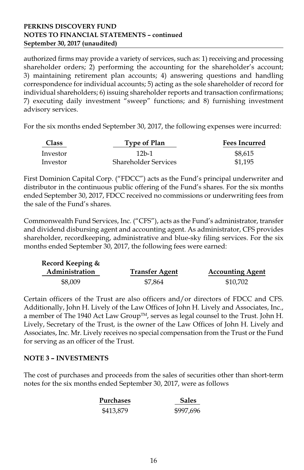#### **PERKINS DISCOVERY FUND NOTES TO FINANCIAL STATEMENTS – continued September 30, 2017 (unaudited)**

authorized firms may provide a variety of services, such as: 1) receiving and processing shareholder orders; 2) performing the accounting for the shareholder's account; 3) maintaining retirement plan accounts; 4) answering questions and handling correspondence for individual accounts; 5) acting as the sole shareholder of record for individual shareholders; 6) issuing shareholder reports and transaction confirmations; 7) executing daily investment "sweep" functions; and 8) furnishing investment advisory services.

For the six months ended September 30, 2017, the following expenses were incurred:

| <b>Class</b><br>Type of Plan |                             | <b>Fees Incurred</b> |
|------------------------------|-----------------------------|----------------------|
| Investor                     | $12b-1$                     | \$8.615              |
| Investor                     | <b>Shareholder Services</b> | \$1,195              |

First Dominion Capital Corp. ("FDCC") acts as the Fund's principal underwriter and distributor in the continuous public offering of the Fund's shares. For the six months ended September 30, 2017, FDCC received no commissions or underwriting fees from the sale of the Fund's shares.

Commonwealth Fund Services, Inc. ("CFS"), acts as the Fund's administrator, transfer and dividend disbursing agent and accounting agent. As administrator, CFS provides shareholder, recordkeeping, administrative and blue-sky filing services. For the six months ended September 30, 2017, the following fees were earned:

| Record Keeping & |                       |                         |
|------------------|-----------------------|-------------------------|
| Administration   | <b>Transfer Agent</b> | <b>Accounting Agent</b> |
| \$8,009          | \$7,864               | \$10,702                |

Certain officers of the Trust are also officers and/or directors of FDCC and CFS. Additionally, John H. Lively of the Law Offices of John H. Lively and Associates, Inc., a member of The 1940 Act Law Group™, serves as legal counsel to the Trust. John H. Lively, Secretary of the Trust, is the owner of the Law Offices of John H. Lively and Associates, Inc. Mr. Lively receives no special compensation from the Trust or the Fund for serving as an officer of the Trust.

#### **NOTE 3 – INVESTMENTS**

The cost of purchases and proceeds from the sales of securities other than short-term notes for the six months ended September 30, 2017, were as follows

| Purchases | <b>Sales</b> |
|-----------|--------------|
| \$413,879 | \$997,696    |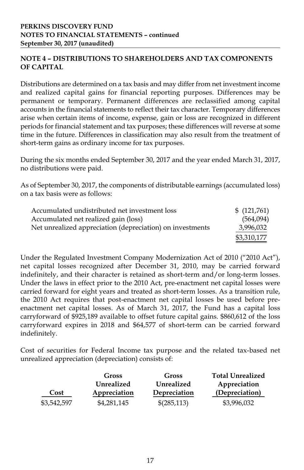## **NOTE 4 – DISTRIBUTIONS TO SHAREHOLDERS AND TAX COMPONENTS OF CAPITAL**

Distributions are determined on a tax basis and may differ from net investment income and realized capital gains for financial reporting purposes. Differences may be permanent or temporary. Permanent differences are reclassified among capital accounts in the financial statements to reflect their tax character. Temporary differences arise when certain items of income, expense, gain or loss are recognized in different periods for financial statement and tax purposes; these differences will reverse at some time in the future. Differences in classification may also result from the treatment of short-term gains as ordinary income for tax purposes.

During the six months ended September 30, 2017 and the year ended March 31, 2017, no distributions were paid.

As of September 30, 2017, the components of distributable earnings (accumulated loss) on a tax basis were as follows:

| Accumulated undistributed net investment loss             | \$(121,761) |
|-----------------------------------------------------------|-------------|
| Accumulated net realized gain (loss)                      | (564,094)   |
| Net unrealized appreciation (depreciation) on investments | 3,996,032   |
|                                                           | \$3,310,177 |

Under the Regulated Investment Company Modernization Act of 2010 ("2010 Act"), net capital losses recognized after December 31, 2010, may be carried forward indefinitely, and their character is retained as short-term and/or long-term losses. Under the laws in effect prior to the 2010 Act, pre-enactment net capital losses were carried forward for eight years and treated as short-term losses. As a transition rule, the 2010 Act requires that post-enactment net capital losses be used before preenactment net capital losses. As of March 31, 2017, the Fund has a capital loss carryforward of \$925,189 available to offset future capital gains. \$860,612 of the loss carryforward expires in 2018 and \$64,577 of short-term can be carried forward indefinitely.

Cost of securities for Federal Income tax purpose and the related tax-based net unrealized appreciation (depreciation) consists of:

|             | <b>Gross</b> | <b>Gross</b> | <b>Total Unrealized</b> |
|-------------|--------------|--------------|-------------------------|
|             | Unrealized   | Unrealized   | Appreciation            |
| Cost        | Appreciation | Depreciation | (Depreciation)          |
| \$3,542,597 | \$4,281,145  | \$(285,113)  | \$3,996,032             |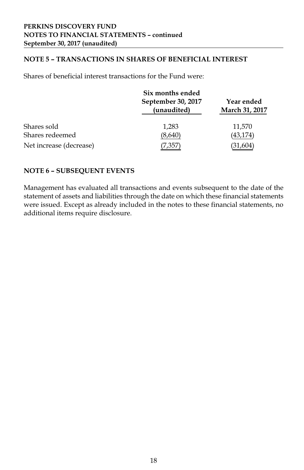## **NOTE 5 – TRANSACTIONS IN SHARES OF BENEFICIAL INTEREST**

Shares of beneficial interest transactions for the Fund were:

|                         | Six months ended                  |                              |  |
|-------------------------|-----------------------------------|------------------------------|--|
|                         | September 30, 2017<br>(unaudited) | Year ended<br>March 31, 2017 |  |
| Shares sold             | 1.283                             | 11,570                       |  |
| Shares redeemed         | (8,640)                           | (43,174)                     |  |
| Net increase (decrease) | 7,35.                             | (31,604)                     |  |

#### **NOTE 6 – SUBSEQUENT EVENTS**

Management has evaluated all transactions and events subsequent to the date of the statement of assets and liabilities through the date on which these financial statements were issued. Except as already included in the notes to these financial statements, no additional items require disclosure.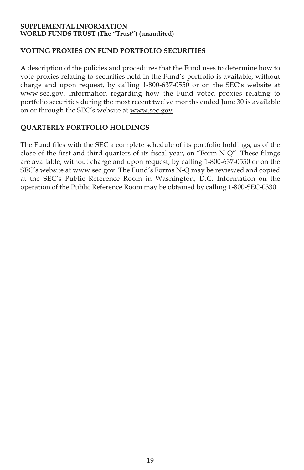## **VOTING PROXIES ON FUND PORTFOLIO SECURITIES**

A description of the policies and procedures that the Fund uses to determine how to vote proxies relating to securities held in the Fund's portfolio is available, without charge and upon request, by calling 1-800-637-0550 or on the SEC's website at www.sec.gov. Information regarding how the Fund voted proxies relating to portfolio securities during the most recent twelve months ended June 30 is available on or through the SEC's website at www.sec.gov.

## **QUARTERLY PORTFOLIO HOLDINGS**

The Fund files with the SEC a complete schedule of its portfolio holdings, as of the close of the first and third quarters of its fiscal year, on "Form N-Q". These filings are available, without charge and upon request, by calling 1-800-637-0550 or on the SEC's website at www.sec.gov. The Fund's Forms N-Q may be reviewed and copied at the SEC's Public Reference Room in Washington, D.C. Information on the operation of the Public Reference Room may be obtained by calling 1-800-SEC-0330.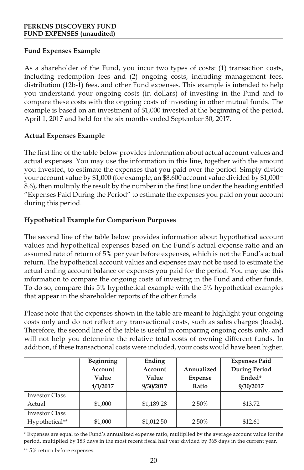## **Fund Expenses Example**

As a shareholder of the Fund, you incur two types of costs: (1) transaction costs, including redemption fees and (2) ongoing costs, including management fees, distribution (12b-1) fees, and other Fund expenses. This example is intended to help you understand your ongoing costs (in dollars) of investing in the Fund and to compare these costs with the ongoing costs of investing in other mutual funds. The example is based on an investment of \$1,000 invested at the beginning of the period, April 1, 2017 and held for the six months ended September 30, 2017.

## **Actual Expenses Example**

The first line of the table below provides information about actual account values and actual expenses. You may use the information in this line, together with the amount you invested, to estimate the expenses that you paid over the period. Simply divide your account value by \$1,000 (for example, an \$8,600 account value divided by \$1,000= 8.6), then multiply the result by the number in the first line under the heading entitled "Expenses Paid During the Period" to estimate the expenses you paid on your account during this period.

## **Hypothetical Example for Comparison Purposes**

The second line of the table below provides information about hypothetical account values and hypothetical expenses based on the Fund's actual expense ratio and an assumed rate of return of 5% per year before expenses, which is not the Fund's actual return. The hypothetical account values and expenses may not be used to estimate the actual ending account balance or expenses you paid for the period. You may use this information to compare the ongoing costs of investing in the Fund and other funds. To do so, compare this 5% hypothetical example with the 5% hypothetical examples that appear in the shareholder reports of the other funds.

Please note that the expenses shown in the table are meant to highlight your ongoing costs only and do not reflect any transactional costs, such as sales charges (loads). Therefore, the second line of the table is useful in comparing ongoing costs only, and will not help you determine the relative total costs of owning different funds. In addition, if these transactional costs were included, your costs would have been higher.

|                       | Beginning | Ending     |            | <b>Expenses Paid</b> |
|-----------------------|-----------|------------|------------|----------------------|
|                       | Account   | Account    | Annualized | <b>During Period</b> |
|                       | Value     | Value      | Expense    | Ended*               |
|                       | 4/1/2017  | 9/30/2017  | Ratio      | 9/30/2017            |
| <b>Investor Class</b> |           |            |            |                      |
| Actual                | \$1,000   | \$1,189.28 | 2.50%      | \$13.72              |
| <b>Investor Class</b> |           |            |            |                      |
| Hypothetical**        | \$1,000   | \$1,012.50 | 2.50%      | \$12.61              |

\* Expenses are equal to the Fund's annualized expense ratio, multiplied by the average account value for the period, multiplied by 183 days in the most recent fiscal half year divided by 365 days in the current year.

\*\* 5% return before expenses.